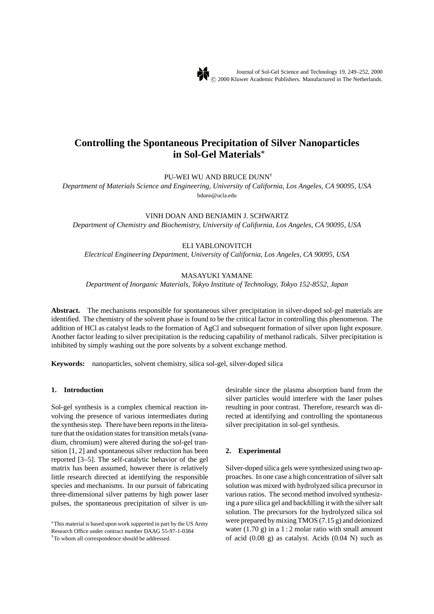# **Controlling the Spontaneous Precipitation of Silver Nanoparticles in Sol-Gel Materials***∗*

PU-WEI WU AND BRUCE DUNN†

*Department of Materials Science and Engineering, University of California, Los Angeles, CA 90095, USA* bdunn@ucla.edu

## VINH DOAN AND BENJAMIN J. SCHWARTZ

*Department of Chemistry and Biochemistry, University of California, Los Angeles, CA 90095, USA*

# ELI YABLONOVITCH

*Electrical Engineering Department, University of California, Los Angeles, CA 90095, USA*

# MASAYUKI YAMANE

*Department of Inorganic Materials, Tokyo Institute of Technology, Tokyo 152-8552, Japan*

**Abstract.** The mechanisms responsible for spontaneous silver precipitation in silver-doped sol-gel materials are identified. The chemistry of the solvent phase is found to be the critical factor in controlling this phenomenon. The addition of HCl as catalyst leads to the formation of AgCl and subsequent formation of silver upon light exposure. Another factor leading to silver precipitation is the reducing capability of methanol radicals. Silver precipitation is inhibited by simply washing out the pore solvents by a solvent exchange method.

**Keywords:** nanoparticles, solvent chemistry, silica sol-gel, silver-doped silica

# **1. Introduction**

Sol-gel synthesis is a complex chemical reaction involving the presence of various intermediates during the synthesis step. There have been reports in the literature that the oxidation states for transition metals (vanadium, chromium) were altered during the sol-gel transition [1, 2] and spontaneous silver reduction has been reported [3–5]. The self-catalytic behavior of the gel matrix has been assumed, however there is relatively little research directed at identifying the responsible species and mechanisms. In our pursuit of fabricating three-dimensional silver patterns by high power laser pulses, the spontaneous precipitation of silver is un-

desirable since the plasma absorption band from the silver particles would interfere with the laser pulses resulting in poor contrast. Therefore, research was directed at identifying and controlling the spontaneous silver precipitation in sol-gel synthesis.

### **2. Experimental**

Silver-doped silica gels were synthesized using two approaches. In one case a high concentration of silver salt solution was mixed with hydrolyzed silica precursor in various ratios. The second method involved synthesizing a pure silica gel and backfilling it with the silver salt solution. The precursors for the hydrolyzed silica sol were prepared by mixing TMOS (7.15 g) and deionized water  $(1.70 \text{ g})$  in a 1 : 2 molar ratio with small amount of acid  $(0.08 \text{ g})$  as catalyst. Acids  $(0.04 \text{ N})$  such as

<sup>∗</sup>This material is based upon work supported in part by the US Army Research Office under contract number DAAG 55-97-1-0384 †To whom all correspondence should be addressed.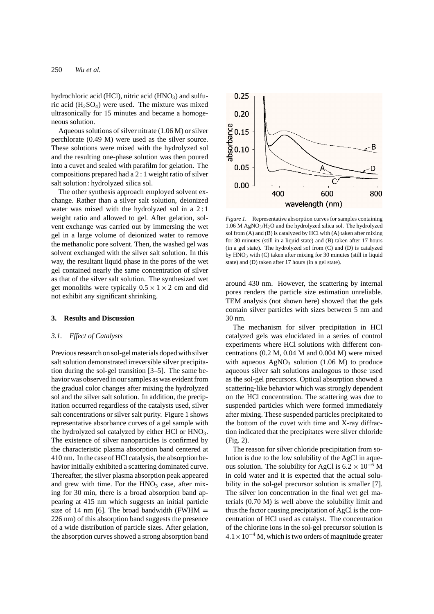hydrochloric acid (HCl), nitric acid (HNO<sub>3</sub>) and sulfuric acid  $(H_2SO_4)$  were used. The mixture was mixed ultrasonically for 15 minutes and became a homogeneous solution.

Aqueous solutions of silver nitrate (1.06 M) or silver perchlorate (0.49 M) were used as the silver source. These solutions were mixed with the hydrolyzed sol and the resulting one-phase solution was then poured into a cuvet and sealed with parafilm for gelation. The compositions prepared had a 2 : 1 weight ratio of silver salt solution : hydrolyzed silica sol.

The other synthesis approach employed solvent exchange. Rather than a silver salt solution, deionized water was mixed with the hydrolyzed sol in a 2:1 weight ratio and allowed to gel. After gelation, solvent exchange was carried out by immersing the wet gel in a large volume of deionized water to remove the methanolic pore solvent. Then, the washed gel was solvent exchanged with the silver salt solution. In this way, the resultant liquid phase in the pores of the wet gel contained nearly the same concentration of silver as that of the silver salt solution. The synthesized wet get monoliths were typically  $0.5 \times 1 \times 2$  cm and did not exhibit any significant shrinking.

#### **3. Results and Discussion**

### *3.1. Effect of Catalysts*

Previous research on sol-gel materials doped with silver salt solution demonstrated irreversible silver precipitation during the sol-gel transition [3–5]. The same behavior was observed in our samples as was evident from the gradual color changes after mixing the hydrolyzed sol and the silver salt solution. In addition, the precipitation occurred regardless of the catalysts used, silver salt concentrations or silver salt purity. Figure 1 shows representative absorbance curves of a gel sample with the hydrolyzed sol catalyzed by either HCl or  $HNO<sub>3</sub>$ . The existence of silver nanoparticles is confirmed by the characteristic plasma absorption band centered at 410 nm. In the case of HCl catalysis, the absorption behavior initially exhibited a scattering dominated curve. Thereafter, the silver plasma absorption peak appeared and grew with time. For the  $HNO<sub>3</sub>$  case, after mixing for 30 min, there is a broad absorption band appearing at 415 nm which suggests an initial particle size of 14 nm [6]. The broad bandwidth (FWHM  $=$ 226 nm) of this absorption band suggests the presence of a wide distribution of particle sizes. After gelation, the absorption curves showed a strong absorption band



*Figure 1*. Representative absorption curves for samples containing 1.06 M AgNO3/H2O and the hydrolyzed silica sol. The hydrolyzed sol from (A) and (B) is catalyzed by HCl with (A) taken after mixing for 30 minutes (still in a liquid state) and (B) taken after 17 hours  $(in a gel state)$ . The hydrolyzed sol from  $(C)$  and  $(D)$  is catalyzed by HNO3 with (C) taken after mixing for 30 minutes (still in liquid state) and (D) taken after 17 hours (in a gel state).

around 430 nm. However, the scattering by internal pores renders the particle size estimation unreliable. TEM analysis (not shown here) showed that the gels contain silver particles with sizes between 5 nm and 30 nm.

The mechanism for silver precipitation in HCl catalyzed gels was elucidated in a series of control experiments where HCl solutions with different concentrations (0.2 M, 0.04 M and 0.004 M) were mixed with aqueous  $AgNO<sub>3</sub>$  solution (1.06 M) to produce aqueous silver salt solutions analogous to those used as the sol-gel precursors. Optical absorption showed a scattering-like behavior which was strongly dependent on the HCl concentration. The scattering was due to suspended particles which were formed immediately after mixing. These suspended particles precipitated to the bottom of the cuvet with time and X-ray diffraction indicated that the precipitates were silver chloride (Fig. 2).

The reason for silver chloride precipitation from solution is due to the low solubility of the AgCl in aqueous solution. The solubility for AgCl is  $6.2 \times 10^{-6}$  M in cold water and it is expected that the actual solubility in the sol-gel precursor solution is smaller [7]. The silver ion concentration in the final wet gel materials (0.70 M) is well above the solubility limit and thus the factor causing precipitation of AgCl is the concentration of HCl used as catalyst. The concentration of the chlorine ions in the sol-gel precursor solution is  $4.1 \times 10^{-4}$  M, which is two orders of magnitude greater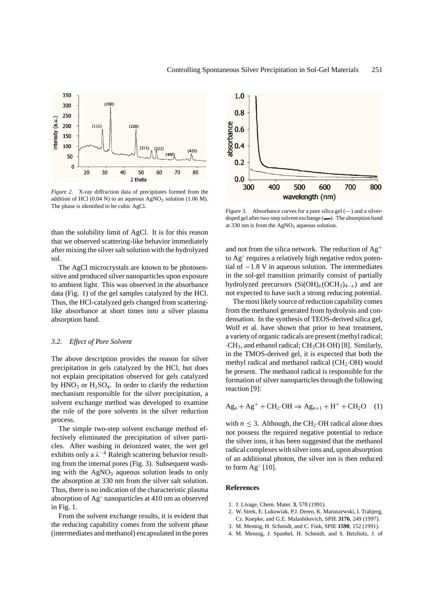

*Figure 2*. X-ray diffraction data of precipitates formed from the addition of HCl (0.04 N) to an aqueous  $AgNO<sub>3</sub>$  solution (1.06 M). The phase is identified to be cubic AgCl.

than the solubility limit of AgCl. It is for this reason that we observed scattering-like behavior immediately after mixing the silver salt solution with the hydrolyzed sol.

The AgCl microcrystals are known to be photosensitive and produced silver nanoparticles upon exposure to ambient light. This was observed in the absorbance data (Fig. 1) of the gel samples catalyzed by the HCl. Thus, the HCl-catalyzed gels changed from scatteringlike absorbance at short times into a silver plasma absorption band.

### *3.2. Effect of Pore Solvent*

The above description provides the reason for silver precipitation in gels catalyzed by the HCl, but does not explain precipitation observed for gels catalyzed by  $HNO<sub>3</sub>$  or  $H<sub>2</sub>SO<sub>4</sub>$ . In order to clarify the reduction mechanism responsible for the silver precipitation, a solvent exchange method was developed to examine the role of the pore solvents in the silver reduction process.

The simple two-step solvent exchange method effectively eliminated the precipitation of silver particles. After washing in deionized water, the wet gel exhibits only a  $\lambda^{-4}$  Raleigh scattering behavior resulting from the internal pores (Fig. 3). Subsequent washing with the  $AgNO<sub>3</sub>$  aqueous solution leads to only the absorption at 330 nm from the silver salt solution. Thus, there is no indication of the characteristic plasma absorption of Ag◦ nanoparticles at 410 nm as observed in Fig. 1.

From the solvent exchange results, it is evident that the reducing capability comes from the solvent phase (intermediates and methanol) encapsulated in the pores



*Figure 3.* Absorbance curves for a pure silica gel (-) and a silverdoped gel after two-step solvent exchange (-). The absorption band at 330 nm is from the  $AgNO<sub>3</sub>$  aqueous solution.

and not from the silica network. The reduction of  $Ag^+$ to Ag<sup>∘</sup> requires a relatively high negative redox potential of −1.8 V in aqueous solution. The intermediates in the sol-gel transition primarily consist of partially hydrolyzed precursors  $(Si(OH)_x(CCH_3)_{4-x})$  and are not expected to have such a strong reducing potential.

The most likely source of reduction capability comes from the methanol generated from hydrolysis and condensation. In the synthesis of TEOS-derived silica gel, Wolf et al. have shown that prior to heat treatment, a variety of organic radicals are present (methyl radical;  $\cdot$ CH<sub>3</sub>, and ethanol radical; CH<sub>3</sub>CH $\cdot$ OH $)$ [8]. Similarly, in the TMOS-derived gel, it is expected that both the methyl radical and methanol radical ( $CH<sub>2</sub>·OH$ ) would be present. The methanol radical is responsible for the formation of silver nanoparticles through the following reaction [9]:

$$
Ag_n + Ag^+ + CH_2 \cdot OH \Rightarrow Ag_{n+1} + H^+ + CH_2O \quad (1)
$$

with  $n \leq 3$ . Although, the CH<sub>2</sub>·OH radical alone does not possess the required negative potential to reduce the silver ions, it has been suggested that the methanol radical complexes with silver ions and, upon absorption of an additional photon, the silver ion is then reduced to form  $Ag°$  [10].

## **References**

- 1. J. Livage, Chem. Mater. **3**, 578 (1991).
- 2. W. Strek, E. Lukowiak, P.J. Deren, K. Maruszewski, I. Trabjerg, Cz. Koepke, and G.E. Malashikevich, SPIE **3176**, 249 (1997).
- 3. M. Mennig, H. Schmidt, and C. Fink, SPIE **1590**, 152 (1991).
- 4. M. Mennig, J. Spanhel, H. Schmidt, and S. Betzholz, J. of